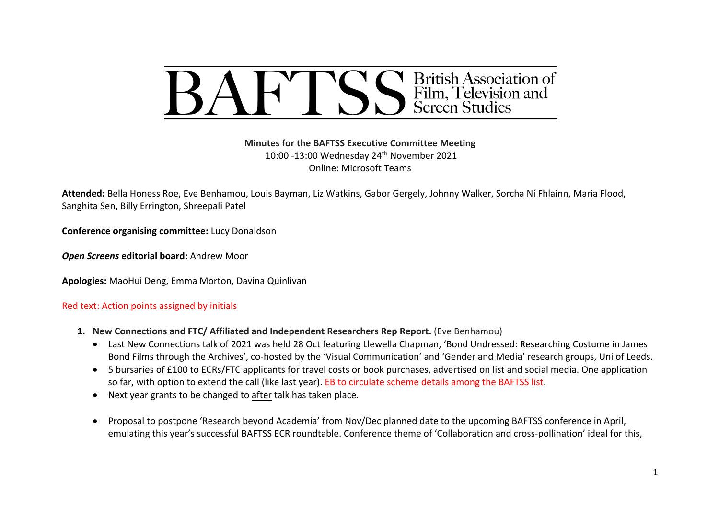

**Minutes for the BAFTSS Executive Committee Meeting** 10:00 -13:00 Wednesday 24th November 2021 Online: Microsoft Teams

**Attended:** Bella Honess Roe, Eve Benhamou, Louis Bayman, Liz Watkins, Gabor Gergely, Johnny Walker, Sorcha Ní Fhlainn, Maria Flood, Sanghita Sen, Billy Errington, Shreepali Patel

**Conference organising committee:** Lucy Donaldson

*Open Screens* **editorial board:** Andrew Moor

**Apologies:** MaoHui Deng, Emma Morton, Davina Quinlivan

#### Red text: Action points assigned by initials

- **1. New Connections and FTC/ Affiliated and Independent Researchers Rep Report.** (Eve Benhamou)
	- Last New Connections talk of 2021 was held 28 Oct featuring Llewella Chapman, 'Bond Undressed: Researching Costume in James Bond Films through the Archives', co-hosted by the 'Visual Communication' and 'Gender and Media' research groups, Uni of Leeds.
	- 5 bursaries of £100 to ECRs/FTC applicants for travel costs or book purchases, advertised on list and social media. One application so far, with option to extend the call (like last year). EB to circulate scheme details among the BAFTSS list.
	- Next year grants to be changed to after talk has taken place.
	- Proposal to postpone 'Research beyond Academia' from Nov/Dec planned date to the upcoming BAFTSS conference in April, emulating this year's successful BAFTSS ECR roundtable. Conference theme of 'Collaboration and cross-pollination' ideal for this,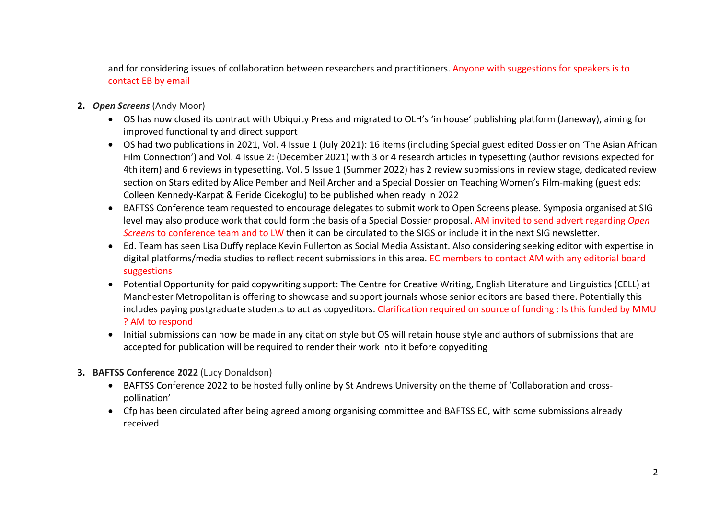and for considering issues of collaboration between researchers and practitioners. Anyone with suggestions for speakers is to contact EB by email

- **2.** *Open Screens* (Andy Moor)
	- OS has now closed its contract with Ubiquity Press and migrated to OLH's 'in house' publishing platform (Janeway), aiming for improved functionality and direct support
	- OS had two publications in 2021, Vol. 4 Issue 1 (July 2021): 16 items (including Special guest edited Dossier on 'The Asian African Film Connection') and Vol. 4 Issue 2: (December 2021) with 3 or 4 research articles in typesetting (author revisions expected for 4th item) and 6 reviews in typesetting. Vol. 5 Issue 1 (Summer 2022) has 2 review submissions in review stage, dedicated review section on Stars edited by Alice Pember and Neil Archer and a Special Dossier on Teaching Women's Film-making (guest eds: Colleen Kennedy-Karpat & Feride Cicekoglu) to be published when ready in 2022
	- BAFTSS Conference team requested to encourage delegates to submit work to Open Screens please. Symposia organised at SIG level may also produce work that could form the basis of a Special Dossier proposal. AM invited to send advert regarding *Open Screens* to conference team and to LW then it can be circulated to the SIGS or include it in the next SIG newsletter.
	- Ed. Team has seen Lisa Duffy replace Kevin Fullerton as Social Media Assistant. Also considering seeking editor with expertise in digital platforms/media studies to reflect recent submissions in this area. EC members to contact AM with any editorial board suggestions
	- Potential Opportunity for paid copywriting support: The Centre for Creative Writing, English Literature and Linguistics (CELL) at Manchester Metropolitan is offering to showcase and support journals whose senior editors are based there. Potentially this includes paying postgraduate students to act as copyeditors. Clarification required on source of funding : Is this funded by MMU ? AM to respond
	- Initial submissions can now be made in any citation style but OS will retain house style and authors of submissions that are accepted for publication will be required to render their work into it before copyediting
- **3. BAFTSS Conference 2022** (Lucy Donaldson)
	- BAFTSS Conference 2022 to be hosted fully online by St Andrews University on the theme of 'Collaboration and crosspollination'
	- Cfp has been circulated after being agreed among organising committee and BAFTSS EC, with some submissions already received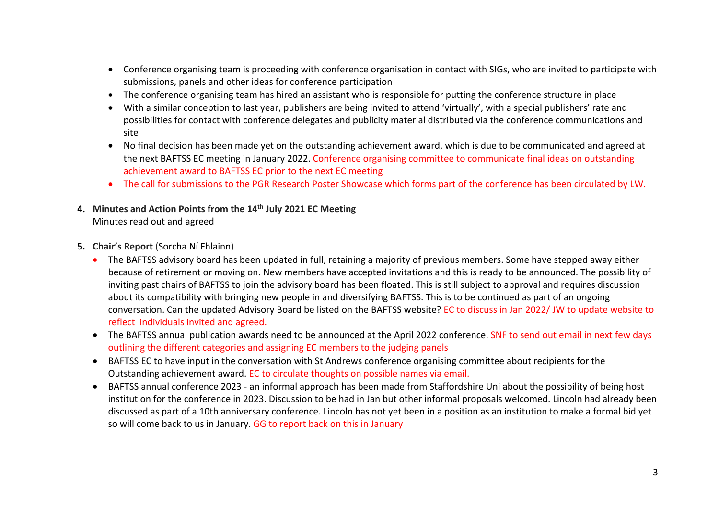- Conference organising team is proceeding with conference organisation in contact with SIGs, who are invited to participate with submissions, panels and other ideas for conference participation
- The conference organising team has hired an assistant who is responsible for putting the conference structure in place
- With a similar conception to last year, publishers are being invited to attend 'virtually', with a special publishers' rate and possibilities for contact with conference delegates and publicity material distributed via the conference communications and site
- No final decision has been made yet on the outstanding achievement award, which is due to be communicated and agreed at the next BAFTSS EC meeting in January 2022. Conference organising committee to communicate final ideas on outstanding achievement award to BAFTSS EC prior to the next EC meeting
- The call for submissions to the PGR Research Poster Showcase which forms part of the conference has been circulated by LW.
- **4. Minutes and Action Points from the 14th July 2021 EC Meeting**  Minutes read out and agreed
- **5. Chair's Report** (Sorcha Ní Fhlainn)
	- The BAFTSS advisory board has been updated in full, retaining a majority of previous members. Some have stepped away either because of retirement or moving on. New members have accepted invitations and this is ready to be announced. The possibility of inviting past chairs of BAFTSS to join the advisory board has been floated. This is still subject to approval and requires discussion about its compatibility with bringing new people in and diversifying BAFTSS. This is to be continued as part of an ongoing conversation. Can the updated Advisory Board be listed on the BAFTSS website? EC to discuss in Jan 2022/ JW to update website to reflect individuals invited and agreed.
	- The BAFTSS annual publication awards need to be announced at the April 2022 conference. SNF to send out email in next few days outlining the different categories and assigning EC members to the judging panels
	- BAFTSS EC to have input in the conversation with St Andrews conference organising committee about recipients for the Outstanding achievement award. EC to circulate thoughts on possible names via email.
	- BAFTSS annual conference 2023 an informal approach has been made from Staffordshire Uni about the possibility of being host institution for the conference in 2023. Discussion to be had in Jan but other informal proposals welcomed. Lincoln had already been discussed as part of a 10th anniversary conference. Lincoln has not yet been in a position as an institution to make a formal bid yet so will come back to us in January. GG to report back on this in January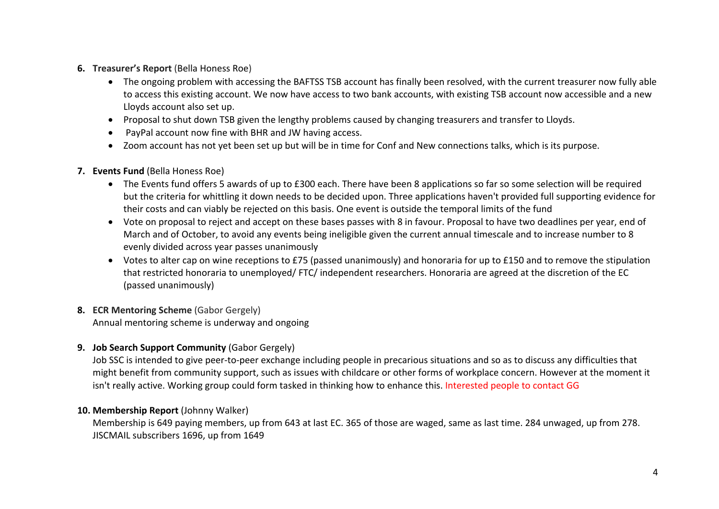- **6. Treasurer's Report** (Bella Honess Roe)
	- The ongoing problem with accessing the BAFTSS TSB account has finally been resolved, with the current treasurer now fully able to access this existing account. We now have access to two bank accounts, with existing TSB account now accessible and a new Lloyds account also set up.
	- Proposal to shut down TSB given the lengthy problems caused by changing treasurers and transfer to Lloyds.
	- PayPal account now fine with BHR and JW having access.
	- Zoom account has not yet been set up but will be in time for Conf and New connections talks, which is its purpose.

### **7. Events Fund** (Bella Honess Roe)

- The Events fund offers 5 awards of up to £300 each. There have been 8 applications so far so some selection will be required but the criteria for whittling it down needs to be decided upon. Three applications haven't provided full supporting evidence for their costs and can viably be rejected on this basis. One event is outside the temporal limits of the fund
- Vote on proposal to reject and accept on these bases passes with 8 in favour. Proposal to have two deadlines per year, end of March and of October, to avoid any events being ineligible given the current annual timescale and to increase number to 8 evenly divided across year passes unanimously
- Votes to alter cap on wine receptions to £75 (passed unanimously) and honoraria for up to £150 and to remove the stipulation that restricted honoraria to unemployed/ FTC/ independent researchers. Honoraria are agreed at the discretion of the EC (passed unanimously)

# **8. ECR Mentoring Scheme** (Gabor Gergely)

Annual mentoring scheme is underway and ongoing

## **9. Job Search Support Community** (Gabor Gergely)

Job SSC is intended to give peer-to-peer exchange including people in precarious situations and so as to discuss any difficulties that might benefit from community support, such as issues with childcare or other forms of workplace concern. However at the moment it isn't really active. Working group could form tasked in thinking how to enhance this. Interested people to contact GG

## **10. Membership Report** (Johnny Walker)

Membership is 649 paying members, up from 643 at last EC. 365 of those are waged, same as last time. 284 unwaged, up from 278. JISCMAIL subscribers 1696, up from 1649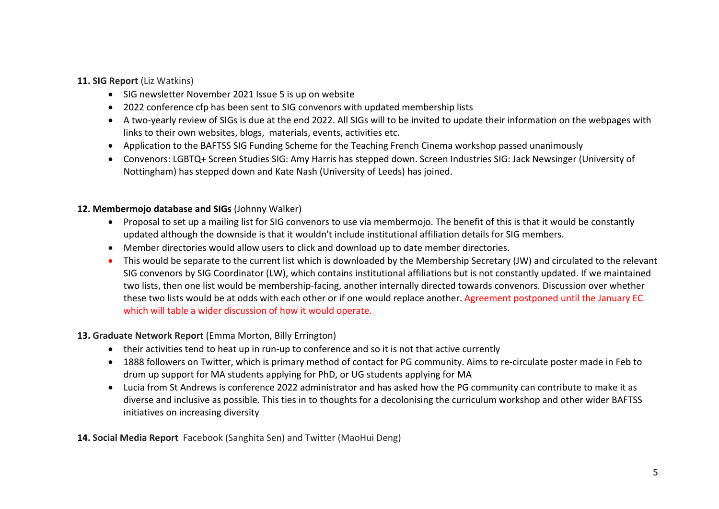#### **11. SIG Report** (Liz Watkins)

- SIG newsletter November 2021 Issue 5 is up on website
- 2022 conference cfp has been sent to SIG convenors with updated membership lists
- A two-yearly review of SIGs is due at the end 2022. All SIGs will to be invited to update their information on the webpages with links to their own websites, blogs, materials, events, activities etc.
- Application to the BAFTSS SIG Funding Scheme for the Teaching French Cinema workshop passed unanimously
- Convenors: LGBTQ+ Screen Studies SIG: Amy Harris has stepped down. Screen Industries SIG: Jack Newsinger (University of Nottingham) has stepped down and Kate Nash (University of Leeds) has joined.

### **12. Membermojo database and SIGs** (Johnny Walker)

- Proposal to set up a mailing list for SIG convenors to use via membermojo. The benefit of this is that it would be constantly updated although the downside is that it wouldn't include institutional affiliation details for SIG members.
- Member directories would allow users to click and download up to date member directories.
- This would be separate to the current list which is downloaded by the Membership Secretary (JW) and circulated to the relevant SIG convenors by SIG Coordinator (LW), which contains institutional affiliations but is not constantly updated. If we maintained two lists, then one list would be membership-facing, another internally directed towards convenors. Discussion over whether these two lists would be at odds with each other or if one would replace another. Agreement postponed until the January EC which will table a wider discussion of how it would operate.

#### **13. Graduate Network Report** (Emma Morton, Billy Errington)

- their activities tend to heat up in run-up to conference and so it is not that active currently
- 1888 followers on Twitter, which is primary method of contact for PG community. Aims to re-circulate poster made in Feb to drum up support for MA students applying for PhD, or UG students applying for MA
- Lucia from St Andrews is conference 2022 administrator and has asked how the PG community can contribute to make it as diverse and inclusive as possible. This ties in to thoughts for a decolonising the curriculum workshop and other wider BAFTSS initiatives on increasing diversity

## **14. Social Media Report** Facebook (Sanghita Sen) and Twitter (MaoHui Deng)